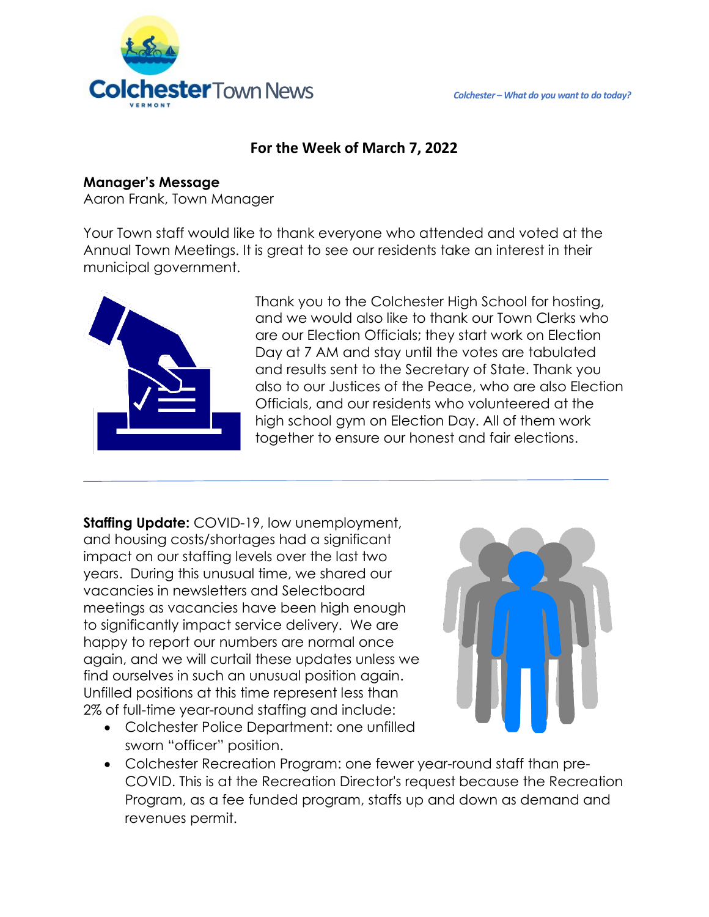

# **For the Week of March 7, 2022**

### **Manager's Message**

Aaron Frank, Town Manager

Your Town staff would like to thank everyone who attended and voted at the Annual Town Meetings. It is great to see our residents take an interest in their municipal government.



Thank you to the Colchester High School for hosting, and we would also like to thank our Town Clerks who are our Election Officials; they start work on Election Day at 7 AM and stay until the votes are tabulated and results sent to the Secretary of State. Thank you also to our Justices of the Peace, who are also Election Officials, and our residents who volunteered at the high school gym on Election Day. All of them work together to ensure our honest and fair elections.

**Staffing Update:** COVID-19, low unemployment, and housing costs/shortages had a significant impact on our staffing levels over the last two years. During this unusual time, we shared our vacancies in newsletters and Selectboard meetings as vacancies have been high enough to significantly impact service delivery. We are happy to report our numbers are normal once again, and we will curtail these updates unless we find ourselves in such an unusual position again. Unfilled positions at this time represent less than 2% of full-time year-round staffing and include:

• Colchester Police Department: one unfilled sworn "officer" position.



• Colchester Recreation Program: one fewer year-round staff than pre-COVID. This is at the Recreation Director's request because the Recreation Program, as a fee funded program, staffs up and down as demand and revenues permit.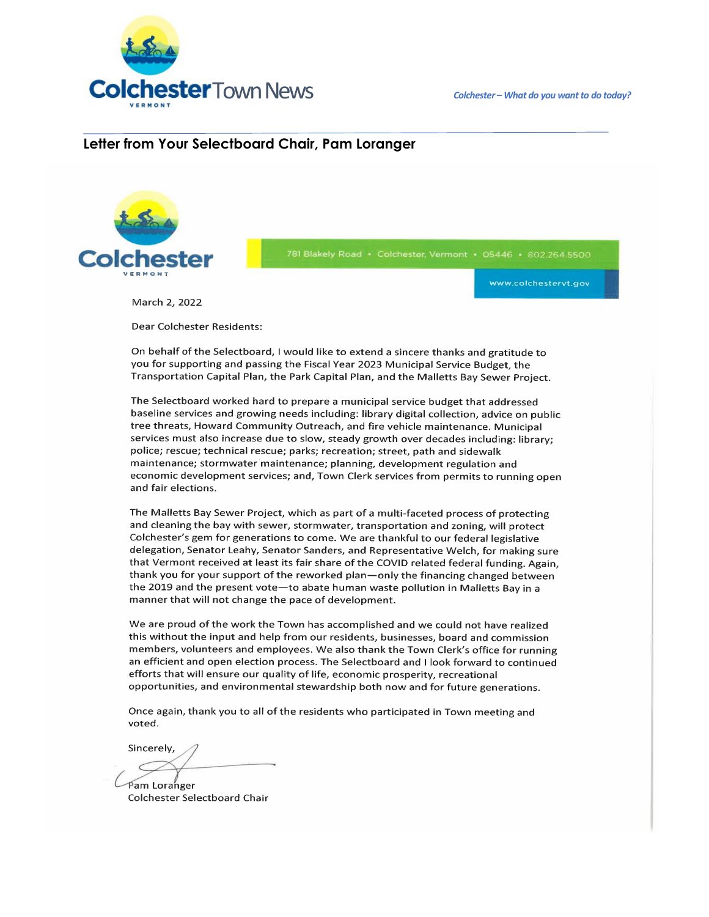Colchester - What do you want to do today?



#### Letter from Your Selectboard Chair, Pam Loranger



781 Blakely Road · Colchester, Vermont · 05446 · 802.264.5500

www.colchestervt.gov

March 2. 2022

Dear Colchester Residents:

On behalf of the Selectboard, I would like to extend a sincere thanks and gratitude to you for supporting and passing the Fiscal Year 2023 Municipal Service Budget, the Transportation Capital Plan, the Park Capital Plan, and the Malletts Bay Sewer Project.

The Selectboard worked hard to prepare a municipal service budget that addressed baseline services and growing needs including: library digital collection, advice on public tree threats, Howard Community Outreach, and fire vehicle maintenance. Municipal services must also increase due to slow, steady growth over decades including: library; police; rescue; technical rescue; parks; recreation; street, path and sidewalk maintenance; stormwater maintenance; planning, development regulation and economic development services; and, Town Clerk services from permits to running open and fair elections.

The Malletts Bay Sewer Project, which as part of a multi-faceted process of protecting and cleaning the bay with sewer, stormwater, transportation and zoning, will protect Colchester's gem for generations to come. We are thankful to our federal legislative delegation, Senator Leahy, Senator Sanders, and Representative Welch, for making sure that Vermont received at least its fair share of the COVID related federal funding. Again, thank you for your support of the reworked plan—only the financing changed between the 2019 and the present vote-to abate human waste pollution in Malletts Bay in a manner that will not change the pace of development.

We are proud of the work the Town has accomplished and we could not have realized this without the input and help from our residents, businesses, board and commission members, volunteers and employees. We also thank the Town Clerk's office for running an efficient and open election process. The Selectboard and I look forward to continued efforts that will ensure our quality of life, economic prosperity, recreational opportunities, and environmental stewardship both now and for future generations.

Once again, thank you to all of the residents who participated in Town meeting and voted.

Sincerely,

Pam Loranger **Colchester Selectboard Chair**